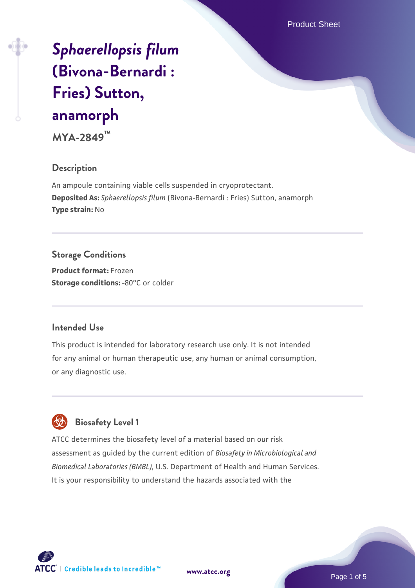Product Sheet

# *[Sphaerellopsis filum](https://www.atcc.org/products/mya-2849)* **[\(Bivona-Bernardi :](https://www.atcc.org/products/mya-2849) [Fries\) Sutton,](https://www.atcc.org/products/mya-2849) [anamorph](https://www.atcc.org/products/mya-2849)**

**MYA-2849™**

#### **Description**

An ampoule containing viable cells suspended in cryoprotectant. **Deposited As:** *Sphaerellopsis filum* (Bivona-Bernardi : Fries) Sutton, anamorph **Type strain:** No

#### **Storage Conditions**

**Product format:** Frozen **Storage conditions: -80°C or colder** 

#### **Intended Use**

This product is intended for laboratory research use only. It is not intended for any animal or human therapeutic use, any human or animal consumption, or any diagnostic use.



### **Biosafety Level 1**

ATCC determines the biosafety level of a material based on our risk assessment as guided by the current edition of *Biosafety in Microbiological and Biomedical Laboratories (BMBL)*, U.S. Department of Health and Human Services. It is your responsibility to understand the hazards associated with the

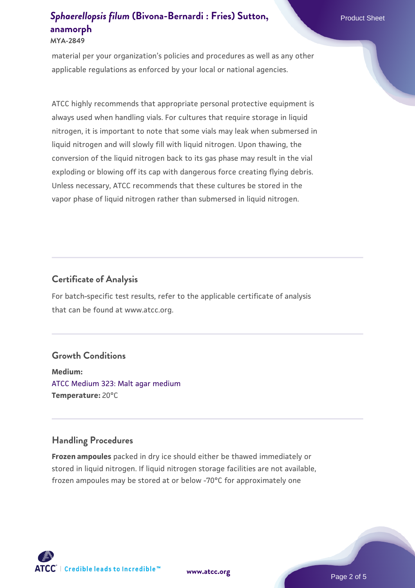#### **[Sphaerellopsis filum](https://www.atcc.org/products/mya-2849) [\(Bivona-Bernardi : Fries\) Sutton,](https://www.atcc.org/products/mya-2849) Product Sheet Product Sheet [anamorph](https://www.atcc.org/products/mya-2849) MYA-2849**

applicable regulations as enforced by your local or national agencies.

material per your organization's policies and procedures as well as any other

ATCC highly recommends that appropriate personal protective equipment is always used when handling vials. For cultures that require storage in liquid nitrogen, it is important to note that some vials may leak when submersed in liquid nitrogen and will slowly fill with liquid nitrogen. Upon thawing, the conversion of the liquid nitrogen back to its gas phase may result in the vial exploding or blowing off its cap with dangerous force creating flying debris. Unless necessary, ATCC recommends that these cultures be stored in the vapor phase of liquid nitrogen rather than submersed in liquid nitrogen.

#### **Certificate of Analysis**

For batch-specific test results, refer to the applicable certificate of analysis that can be found at www.atcc.org.

#### **Growth Conditions**

**Medium:**  [ATCC Medium 323: Malt agar medium](https://www.atcc.org/-/media/product-assets/documents/microbial-media-formulations/3/2/3/atcc-medium-323.pdf?rev=58d6457ee20149d7a1c844947569ef92) **Temperature:** 20°C

#### **Handling Procedures**

**Frozen ampoules** packed in dry ice should either be thawed immediately or stored in liquid nitrogen. If liquid nitrogen storage facilities are not available, frozen ampoules may be stored at or below -70°C for approximately one



**[www.atcc.org](http://www.atcc.org)**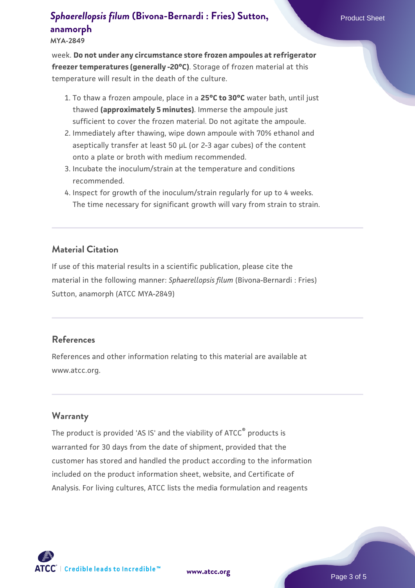## **[Sphaerellopsis filum](https://www.atcc.org/products/mya-2849) [\(Bivona-Bernardi : Fries\) Sutton,](https://www.atcc.org/products/mya-2849) Product Sheet [anamorph](https://www.atcc.org/products/mya-2849)**

**MYA-2849**

week. **Do not under any circumstance store frozen ampoules at refrigerator freezer temperatures (generally -20°C)**. Storage of frozen material at this temperature will result in the death of the culture.

- 1. To thaw a frozen ampoule, place in a **25°C to 30°C** water bath, until just thawed **(approximately 5 minutes)**. Immerse the ampoule just sufficient to cover the frozen material. Do not agitate the ampoule.
- 2. Immediately after thawing, wipe down ampoule with 70% ethanol and aseptically transfer at least 50 µL (or 2-3 agar cubes) of the content onto a plate or broth with medium recommended.
- Incubate the inoculum/strain at the temperature and conditions 3. recommended.
- 4. Inspect for growth of the inoculum/strain regularly for up to 4 weeks. The time necessary for significant growth will vary from strain to strain.

#### **Material Citation**

If use of this material results in a scientific publication, please cite the material in the following manner: *Sphaerellopsis filum* (Bivona-Bernardi : Fries) Sutton, anamorph (ATCC MYA-2849)

#### **References**

References and other information relating to this material are available at www.atcc.org.

#### **Warranty**

The product is provided 'AS IS' and the viability of ATCC® products is warranted for 30 days from the date of shipment, provided that the customer has stored and handled the product according to the information included on the product information sheet, website, and Certificate of Analysis. For living cultures, ATCC lists the media formulation and reagents

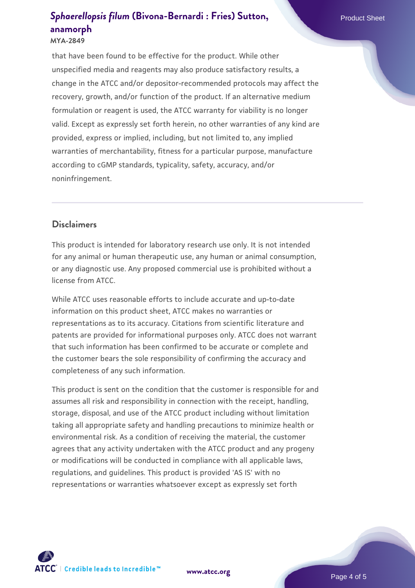## **[Sphaerellopsis filum](https://www.atcc.org/products/mya-2849) [\(Bivona-Bernardi : Fries\) Sutton,](https://www.atcc.org/products/mya-2849) Product Sheet [anamorph](https://www.atcc.org/products/mya-2849)**

#### **MYA-2849**

that have been found to be effective for the product. While other unspecified media and reagents may also produce satisfactory results, a change in the ATCC and/or depositor-recommended protocols may affect the recovery, growth, and/or function of the product. If an alternative medium formulation or reagent is used, the ATCC warranty for viability is no longer valid. Except as expressly set forth herein, no other warranties of any kind are provided, express or implied, including, but not limited to, any implied warranties of merchantability, fitness for a particular purpose, manufacture according to cGMP standards, typicality, safety, accuracy, and/or noninfringement.

#### **Disclaimers**

This product is intended for laboratory research use only. It is not intended for any animal or human therapeutic use, any human or animal consumption, or any diagnostic use. Any proposed commercial use is prohibited without a license from ATCC.

While ATCC uses reasonable efforts to include accurate and up-to-date information on this product sheet, ATCC makes no warranties or representations as to its accuracy. Citations from scientific literature and patents are provided for informational purposes only. ATCC does not warrant that such information has been confirmed to be accurate or complete and the customer bears the sole responsibility of confirming the accuracy and completeness of any such information.

This product is sent on the condition that the customer is responsible for and assumes all risk and responsibility in connection with the receipt, handling, storage, disposal, and use of the ATCC product including without limitation taking all appropriate safety and handling precautions to minimize health or environmental risk. As a condition of receiving the material, the customer agrees that any activity undertaken with the ATCC product and any progeny or modifications will be conducted in compliance with all applicable laws, regulations, and guidelines. This product is provided 'AS IS' with no representations or warranties whatsoever except as expressly set forth